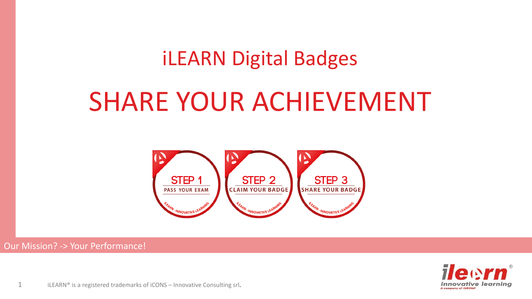# iLEARN Digital Badges

# SHARE YOUR ACHIEVEMENT



#### Our Mission? -> Your Performance!



1 iLEARN<sup>®</sup> is a registered trademarks of iCONS – Innovative Consulting srl.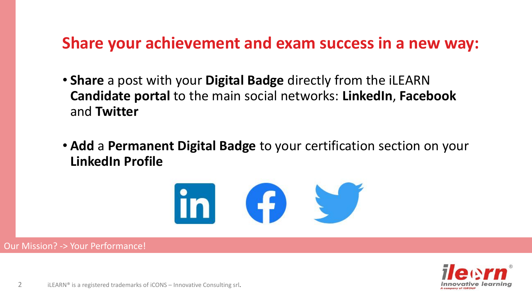### **Share your achievement and exam success in a new way:**

- **Share** a post with your **Digital Badge** directly from the iLEARN **Candidate portal** to the main social networks: **LinkedIn**, **Facebook** and **Twitter**
- **Add** a **Permanent Digital Badge** to your certification section on your **LinkedIn Profile**



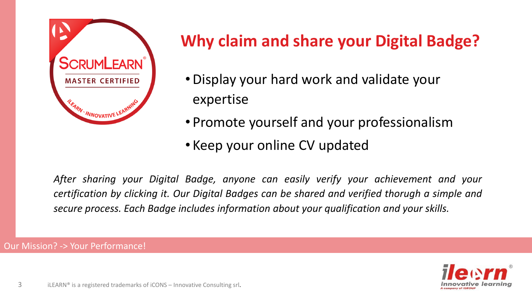

## **Why claim and share your Digital Badge?**

- Display your hard work and validate your expertise
- Promote yourself and your professionalism
- Keep your online CV updated

*After sharing your Digital Badge, anyone can easily verify your achievement and your certification by clicking it. Our Digital Badges can be shared and verified thorugh a simple and secure process. Each Badge includes information about your qualification and your skills.*

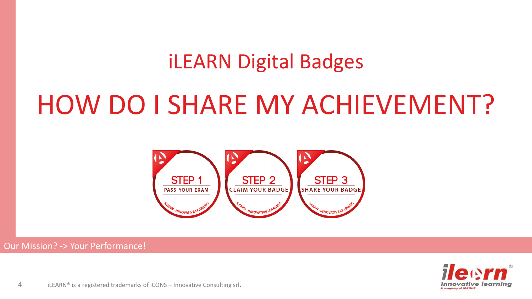# iLEARN Digital Badges

# HOW DO I SHARE MY ACHIEVEMENT?



#### Our Mission? -> Your Performance!



4 **iLEARN®** is a registered trademarks of iCONS – Innovative Consulting srl.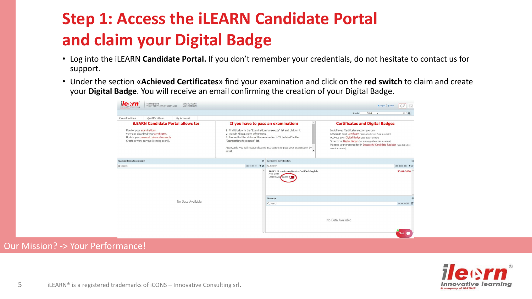## **Step 1: Access the iLEARN Candidate Portal and claim your Digital Badge**

- Log into the iLEARN **[Candidate Portal](https://ilearn.innovativelearning.eu/itmSUITE/).** If you don't remember your credentials, do not hesitate to contact us for support.
- Under the section «**Achieved Certificates**» find your examination and click on the **red switch** to claim and create your **Digital Badge**. You will receive an email confirming the creation of your Digital Badge.



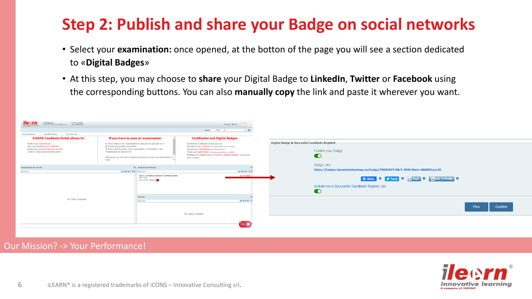### **Step 2: Publish and share your Badge on social networks**

- Select your **examination:** once opened, at the botton of the page you will see a section dedicated to «**Digital Badges**»
- At this step, you may choose to **share** your Digital Badge to **LinkedIn**, **Twitter** or **Facebook** using the corresponding buttons. You can also **manually copy** the link and paste it wherever you want.



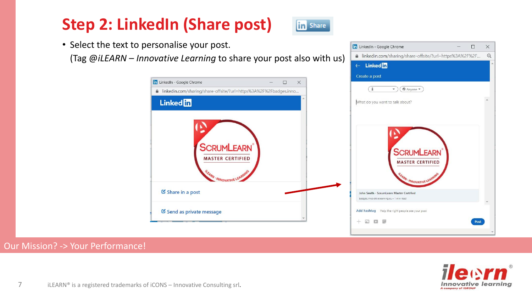### **Step 2: LinkedIn (Share post)**



**To** LinkedIn - Google Chrome

A linkedin.com/sharing/share-offsite/?url=https%3A%2F%2F...

• Select the text to personalise your post.

(Tag @*iLEARN – Innovative Learning* to share your post also with us)



#### Our Mission? -> Your Performance!



 $\frac{1}{2}$ 

 $\Box$ 

 $\times$ 

 $\Theta$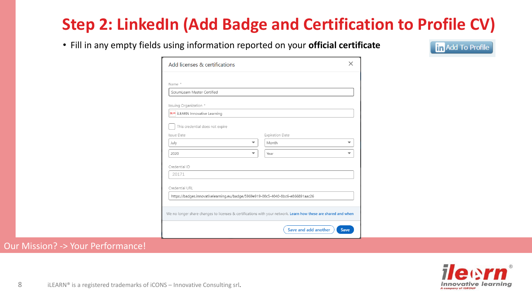### **Step 2: LinkedIn (Add Badge and Certification to Profile CV)**

• Fill in any empty fields using information reported on your **official certificate**

**in** Add To Profile

| Add licenses & certifications                                                                                  |                      | X           |
|----------------------------------------------------------------------------------------------------------------|----------------------|-------------|
|                                                                                                                |                      |             |
| Name *<br>ScrumLearn Master Certified                                                                          |                      |             |
|                                                                                                                |                      |             |
| Issuing Organization *                                                                                         |                      |             |
| <b>Meson</b> iLEARN Innovative Learning                                                                        |                      |             |
| This credential does not expire                                                                                |                      |             |
| Issue Date                                                                                                     | Expiration Date      |             |
| July<br>▼                                                                                                      | Month                | ▼           |
| 2020                                                                                                           | Year                 |             |
| Credential ID                                                                                                  |                      |             |
| 20171                                                                                                          |                      |             |
| Credential URL                                                                                                 |                      |             |
| https://badges.innovativelearning.eu/badge/5969e919-00c5-4040-8bc6-e866891aac26                                |                      |             |
|                                                                                                                |                      |             |
| We no longer share changes to licenses & certifications with your network. Learn how these are shared and when |                      |             |
|                                                                                                                | Save and add another | <b>Save</b> |

![](_page_7_Picture_5.jpeg)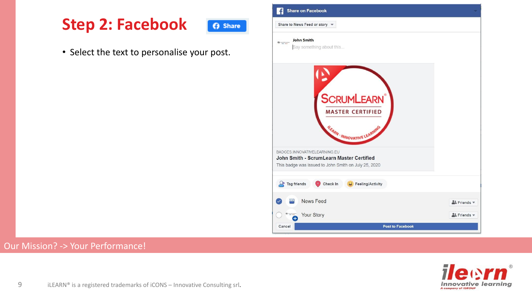### **Step 2: Facebook**

**6** Share

• Select the text to personalise your post.

![](_page_8_Picture_3.jpeg)

![](_page_8_Picture_5.jpeg)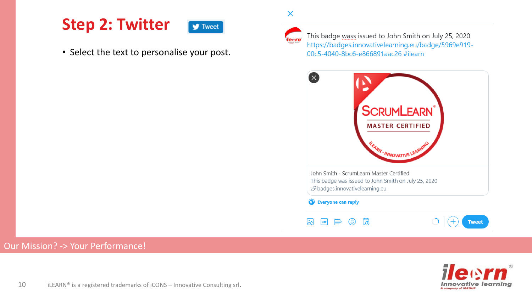### **Step 2: Twitter**

 $\blacktriangleright$  Tweet

• Select the text to personalise your post.

![](_page_9_Picture_3.jpeg)

 $\times$ 

This badge wass issued to John Smith on July 25, 2020 https://badges.innovativelearning.eu/badge/5969e919-00c5-4040-8bc6-e866891aac26 #ilearn

![](_page_9_Figure_5.jpeg)

![](_page_9_Picture_7.jpeg)